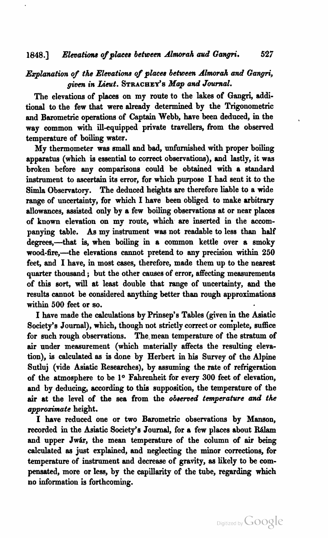*Explanation of the Elevations of places between Almorah and Gangri, given in Lieut.* STRACHEY)~ *Map and Journal.* 

The elevations of places on my route to the lakes of Gangri, additional to the few that were already determined by the Trigonometric and Barometric operations of Captain Webb, have been deduced, in the way common with ill-equipped private travellers, from the observed temperature of boiling water.

My thermometer was **small** and bad, unfurnished with proper boiling apparatus (which **ia** essential to correct observations), and lastly, it was broken before any comparisons could be obtained with a standard instrument to ascertain its error, for which purpose I had sent it to the Simla Observatory. The deduced heights are therefore liable to a wide range of uncertainty, for which I have been obliged to make arbitrary allowances, assisted only by a few boiling observations at or near places of known elevation on my route, which are inserted in the accompanying table. As my instrument was not readable to less than half degrees,--that is, when boiling in a common kettle over a smoky wood-fire,-the elevations cannot pretend to any precision within 250 feet, and **I** have, in most cases, therefore, made them up to the neareet quarter thousand; but the other causes of error, affecting measurements of **this sort,** will at least double that **range** of uncertainty, and the results cannot be considered anything better than rough approximations within **500** feet or **so.** 

I have made the calculations by Prinsep's Tables (given in the Asiatic Society's Journal), which, though not strictly correct or complete, suffice for such rough observations. The mean temperature of the stratum of air under measurement (which materially affects the resulting elevation), is calculated as **ia** done by Herbert in his Survey of the Alpine Sutluj (vide Asiatic Researches), by assuming the rate of refrigeration of the atmosphere to be **lo** Fahrenheit for every **300** feet of elevation, and by deducing, according to this auppoaition, the temperature of the air at the level of the sea from the *observed tmperature* **and** *tk approximate* height.

I have reduced one or two Barometric obeervations by Manson, recorded in the Asiatic Society's Journal, for a few places about Rálam and upper Jwár, the mean temperature of the column of air being calculated as just explained, and neglecting the minor correctione, for temperature of instrument and decrease of gravity, as likely to be compensated, more or less, by the capillarity of the tube, regarding which no information is forthcoming.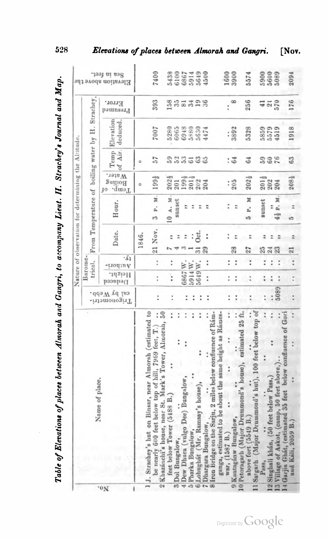|                         |                                                                                                                                                                                         |                               |                      |                        |                            | Nature of observation for determining the Altitude. |                                         |                  |                       |                    |                                     |
|-------------------------|-----------------------------------------------------------------------------------------------------------------------------------------------------------------------------------------|-------------------------------|----------------------|------------------------|----------------------------|-----------------------------------------------------|-----------------------------------------|------------------|-----------------------|--------------------|-------------------------------------|
|                         | Name of place.                                                                                                                                                                          |                               | Barome.<br>trical.   |                        |                            | From Temperature of boiling water by H. Strachey,   |                                         |                  |                       |                    |                                     |
| "ON                     |                                                                                                                                                                                         | cal by Webb.<br>-irtenometri- | Height.<br>Deduced   | $\cdot$ 61<br>-trodinA | Date.                      | Hour.                                               | Water.<br>Builioff<br>Temp.<br>JО       | of Air.<br>Temp. | Elevation<br>deduced. | Error.<br>Presumed | Sea in feet.<br>Elevation above the |
|                         |                                                                                                                                                                                         |                               |                      |                        | 1846.                      |                                                     | ö                                       | $\circ$          |                       |                    |                                     |
|                         | 1.J. Strachey's hut on Binsar, near Almorah (estimated to<br>50<br>÷<br>Almorah,<br>be nearly 600 feet below top of hill, 7969 feet, T.)<br>2 Khazánchi's house, near St. Mark's Tower, | $\ddot{\cdot}$                | $\ddot{\phantom{0}}$ | $\ddot{\phantom{0}}$   | 21 Nov.                    | M.<br>p.<br>$\mathfrak{c}$                          | 1994                                    | 57               | 7007                  | 393                | 7400                                |
|                         | $\ddot{\phantom{0}}$<br>÷<br>feet below Tower (5488 B.                                                                                                                                  | $\ddot{\phantom{0}}$          | $\vdots$             | $\ddot{\cdot}$         | ÷                          | 10 A. M.                                            | $202\frac{1}{2}$                        | 59               | 5280                  |                    | 5438                                |
| Dol Bungalow,<br>ಣ      | $\ddot{\phantom{a}}$                                                                                                                                                                    |                               |                      |                        | $\ddot{\phantom{0}}$       | sunset                                              | 201                                     |                  | 6065                  | 355328             |                                     |
|                         | $\ddot{\phantom{0}}$<br>4 Dew Dhura (vulgo Dee) Bungalow,                                                                                                                               | $\ddot{\phantom{a}}$          | 6867                 | W.                     | $\ddot{ }$                 | ።                                                   |                                         | 533              |                       |                    |                                     |
| Pharka Bungalow         | $\ddot{\phantom{a}}$                                                                                                                                                                    |                               | 5914W.               |                        | ÷                          |                                                     | $\frac{199\frac{1}{2}}{201\frac{3}{2}}$ |                  | 6948                  |                    |                                     |
|                         | Lohughát (Mr. Ramsay's house),                                                                                                                                                          |                               | 5649W.               |                        | Oct.<br>ಸ                  | ።                                                   | 202                                     | 63               | 5630                  |                    |                                     |
| Dhargara Bungalow,      |                                                                                                                                                                                         | ።                             | $\ddot{\cdot}$       | $\ddot{\cdot}$         | $\ddot{\phantom{0}}$<br>29 |                                                     | 204                                     |                  | 1474                  |                    | 6100<br>6867<br>59649<br>4500       |
|                         | 8 Iron Bridge on the Sarju, 2 miles below confluence of Rám-<br>ganga, estimated to be about the same height as Rámes-                                                                  |                               |                      |                        |                            |                                                     |                                         |                  |                       |                    |                                     |
| war, (1587 B.           | i                                                                                                                                                                                       |                               | $\ddot{\phantom{0}}$ | $\ddot{\phantom{0}}$   |                            |                                                     | ÷                                       |                  | $\ddot{\phantom{0}}$  | t                  | 1600                                |
| Kantagánw Bungalow,     | $\ddot{\phantom{0}}$                                                                                                                                                                    |                               | $\ddot{\phantom{0}}$ | I                      | 28                         |                                                     | 205                                     | $\ddot{5}$       | 3892                  | 8                  | 3900                                |
|                         | estimated 25 ft.<br>Petoragarh (Major Drummond's house),                                                                                                                                |                               |                      |                        |                            |                                                     |                                         |                  |                       |                    |                                     |
| Satgarh                 | (Major Drummond's hut), 100 feet below top of<br>above fort (5549 B.                                                                                                                    |                               | ÷                    | $\ddot{\phantom{0}}$   | 27                         | ×<br>e.<br>b                                        | $202\frac{1}{2}$                        | 64               | 5328                  | 256                | 5574                                |
| Pass,                   | $\ddot{\phantom{0}}$                                                                                                                                                                    |                               | $\ddot{\cdot}$       | $\ddot{\phantom{0}}$   | 25                         | sunset                                              | $\frac{201\frac{1}{9}}{202}$            |                  | 5859<br>5579          | $\frac{41}{210}$   | 59000                               |
| $\overline{\mathbf{c}}$ | $\ddot{\phantom{0}}$<br>$\ddot{\cdot}$<br>Singhali khán, (50 feet below Pass,)                                                                                                          |                               | ÷                    |                        | $\frac{5}{24}$             | ħ                                                   |                                         | 588              |                       |                    |                                     |
|                         | 3 Village of Askot, (camp, 50 feet above,)                                                                                                                                              | 5089                          | $\ddot{\phantom{0}}$ | $\ddot{\phantom{0}}$   | 23                         | ×<br>4} P.                                          | 204                                     |                  | 4519                  |                    | 5089                                |
|                         | 4 Garjia Ghát, (estimated 35 feet below confluence of Gori                                                                                                                              |                               |                      |                        |                            |                                                     |                                         |                  |                       |                    |                                     |
| aud                     | I<br>Káli, 2059 B.                                                                                                                                                                      |                               |                      | $\ddot{\cdot}$         | 21                         |                                                     | $208\frac{1}{2}$                        | 63               | 1918                  | 176                | 2094                                |

Table of Elevations of places between Almorah and Gangri, to accompany Lieut. II. Strachey's Journal and Map.

Digitized by Google

528

## Elevations of places between Almorah and Gangri. [Nov.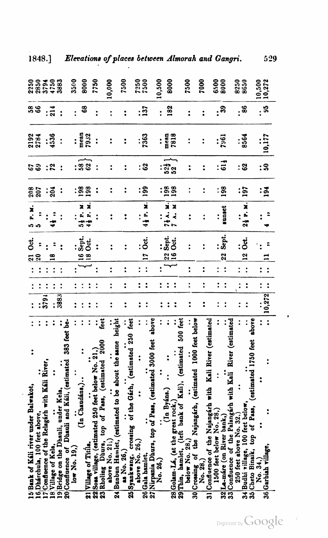| 15 Bank of Káli river under Balwakot,                                         |                        |                         |                      |                      | Čť.<br><u>ีล</u>        | P.M.<br>ູ            | 208            |                | 2192<br>2784   | <u>នី</u><br>ខេ |                    |
|-------------------------------------------------------------------------------|------------------------|-------------------------|----------------------|----------------------|-------------------------|----------------------|----------------|----------------|----------------|-----------------|--------------------|
| 16 Dhárchula, 100 feet above,                                                 |                        |                         |                      |                      |                         |                      | 207            | ទទ             |                |                 |                    |
| 7 Confluence of the Relagarh with Kali River,                                 |                        | 3791                    |                      |                      |                         |                      | $\ddot{\cdot}$ |                |                |                 |                    |
| 18 Village of Kela,                                                           |                        |                         |                      |                      |                         |                      | 204            | $\ddot{r}$     | :<br>4536      | $: \tilde{a}$   | 55<br>8533<br>8855 |
| 19 Bridge on the Dhauli, under Kela,                                          |                        | 3883                    |                      |                      |                         |                      | $\ddot{\cdot}$ | $\ddot{\cdot}$ |                | Ì               | 3883               |
| 20 Confluence of Dhauli and Kaii, (estimated 383 feet be-                     |                        |                         |                      |                      |                         |                      |                |                |                |                 |                    |
| $\log N$ $\sim$ 19.                                                           |                        | $\ddot{\cdot}$          |                      |                      |                         |                      |                |                |                | $\ddot{\cdot}$  | 3500               |
| (In Chaudáns,)                                                                |                        |                         |                      |                      | 16 Sept.                | 5} P. M.             | 198            | :និន           | mean           | \$              | 8000               |
| 21 Village of Titila,                                                         |                        |                         |                      |                      | ತೆ<br>$\frac{8}{1}$     | 4 i P. M.            | 198            |                | 7932           |                 |                    |
| 22 Sosa village, (estimated 250 feet below No. 21.)                           | Leet<br>$\ddot{\cdot}$ |                         |                      |                      | $\ddot{\cdot}$          |                      | $\ddot{\cdot}$ | $\ddot{\cdot}$ | $\ddot{\cdot}$ | $\ddot{\cdot}$  | 7750               |
| <b>2000</b><br>top of Pass, (estimated<br>23 Rholing Dhura,<br>above No. 21;) |                        | $\ddot{\phantom{0}}$    | $\ddot{\cdot}$       | $\ddot{\cdot}$       | $\ddot{\cdot}$          | :                    | $\ddot{\cdot}$ | $\ddot{\cdot}$ |                | $\ddot{\cdot}$  | 10,000             |
| 24 Bunbun Hamlet, (estimated to be about the same height                      |                        |                         |                      |                      |                         |                      |                |                |                |                 |                    |
| as No. 26,                                                                    |                        | $\ddot{\phantom{0}}$    | $\ddot{\cdot}$       | $\ddot{\cdot}$       | $\ddot{\cdot}$          |                      | $\ddot{\cdot}$ | $\ddot{\cdot}$ | ፡              | $\ddot{\cdot}$  | 7500               |
| 25 Syankwang, crossing of the Gárh, (estimated 250 feet                       |                        |                         |                      |                      |                         |                      |                |                |                |                 |                    |
| above No. 26,                                                                 |                        |                         |                      |                      |                         |                      |                |                |                |                 | 7250               |
| 26 Gala hamlet,                                                               |                        | $\ddot{\cdot}$          | $\ddot{\phantom{0}}$ | $\ddot{\cdot}$       | Öct.<br>$\overline{a}$  | 4 i P. M.            | <b>99</b>      | : ន            | <br>7363       | $\mathbf{137}$  | 7500               |
| 27 Nirpania Dhura, top of Pass, (estimated 3000 feet                          | above                  |                         |                      |                      |                         |                      |                |                |                |                 |                    |
| No. 26,)                                                                      |                        |                         | $\ddot{\cdot}$       |                      |                         |                      |                |                |                |                 | 10,500             |
| (In Byáns.)                                                                   |                        |                         |                      |                      | $rac{32}{16}$ Oct.      | 71 A.M.              | 198            | : ភ្នំ :<br>ឆន | mean           | 182             | 8000               |
| 28 Golam-Lá, (at the great rock,                                              |                        |                         | $\ddot{\cdot}$       |                      |                         | <b>M V 2</b>         | 198            |                | 7818           |                 |                    |
| 29 Thin, hamlet, (left bank of Kali), (estimated 500 feet                     |                        |                         |                      |                      |                         |                      |                |                |                |                 |                    |
| below No. 28,                                                                 |                        | $\ddot{\phantom{0}}$    | $\ddot{\phantom{0}}$ | $\ddot{\cdot}$       | $\ddot{\cdot}$          |                      |                | $\ddot{\cdot}$ |                | ፡               | <b>POSZ</b>        |
| the Najangárh, (estimated 1000 feet below<br>30 Crossing of                   |                        |                         |                      |                      |                         |                      |                |                |                |                 | 7000               |
| 31 Confluence of the Najangarh with Kall River (estimated<br>No. 28.)         |                        | ፡                       | $\ddot{\cdot}$       | $\ddot{\cdot}$       | $\ddot{\cdot}$          |                      | $\ddot{\cdot}$ | $\ddot{\cdot}$ |                | ፡               |                    |
| 1500 feet below No. 28.)                                                      |                        |                         | $\ddot{\phantom{0}}$ |                      |                         |                      |                |                |                | $\ddot{\cdot}$  | 6500               |
| 32 La-mare (on River bank,)                                                   |                        |                         |                      | $\ddot{\cdot}$       | Sept.<br>$\overline{2}$ | sunset               | 198            | $: \vec{a}$    | 796]           | 39              | 8000               |
| 33 Confluence of the Palangarh with Kali River (estimated                     |                        |                         |                      |                      |                         |                      |                |                |                |                 |                    |
| 250 feet above No. 32.                                                        |                        |                         |                      |                      |                         |                      |                |                |                |                 | 8250               |
| 34 Budhi village, 100 feet below                                              |                        |                         | $\ddot{\cdot}$       | $\ddot{\cdot}$       | Ōđ.<br>$\frac{2}{2}$    | $2\frac{1}{3}$ P. M. | 197            | : ឌ            | 8564           | . ఇ             | 8650               |
| 35 Cheto Binaik, top of Pass, (estimated 1750 feet<br>No. 34,                 | above                  |                         |                      |                      |                         |                      |                |                |                |                 |                    |
| 36 Garbiah village,                                                           |                        |                         | $\ddot{\cdot}$       | $\ddot{\phantom{0}}$ |                         |                      | :ក្ន           | : ສ            | 10,177         | ຸສ              | 10,500<br>10,272   |
|                                                                               |                        | $\, \ldots \,  10,272}$ | $\ddot{\cdot}$       | $\ddot{\cdot}$       |                         |                      |                |                |                |                 |                    |

529

 $\cdot$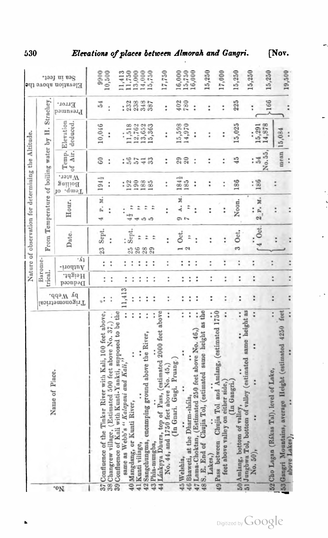|                                                                                                                           |                             |                      |                        |                       | Nature of observation for determining the Altitude. |                                   |                      |                                     |                                 |                                     |
|---------------------------------------------------------------------------------------------------------------------------|-----------------------------|----------------------|------------------------|-----------------------|-----------------------------------------------------|-----------------------------------|----------------------|-------------------------------------|---------------------------------|-------------------------------------|
|                                                                                                                           |                             | trical.              | Barome-                |                       | From Temperature of boiling water by H. Strachey    |                                   |                      |                                     |                                 |                                     |
| Name of Place.<br>'ON                                                                                                     | by Webb.<br>Trigonometrical | Height.<br>Deduced   | $\cdot$ 64<br>Authori- | Date.                 | Hour.                                               | Water.<br>Boiling<br>Water.<br>IO |                      | Temp. Elevation<br>of Air. deduced. | Error.<br>Presumed              | Sea in feet.<br>Elevation above the |
| 37 Confluence of the Tinkar River with Kali, 100 feet above,                                                              |                             | $\ddot{\phantom{0}}$ | $\vdots$               | Sept.<br>23           | P. M.                                               | 194}                              | 60                   | 10,046                              | 54                              | 9900                                |
| 38 Changrew village, (Estimated 500 feet above No. 37,).                                                                  |                             | $\ddot{\cdot}$       | $\ddot{\phantom{0}}$   | $\ddot{\phantom{0}}$  | $\ddot{\cdot}$                                      | $\ddot{\phantom{a}}$              |                      | $\vdots$                            | t                               | 10,500                              |
| $\vdots$<br>39 Confluence of Kali with Kunti-Yankti, supposed to be the same as Webb's "Kalapani and Kali,"               | 11,413                      | $\ddot{\phantom{0}}$ | $\ddot{\phantom{0}}$   |                       |                                                     |                                   |                      | $\ddot{\phantom{0}}$                | 232                             | 11,413                              |
| Mangdang, or Kunti River,<br>40 <sub>h</sub>                                                                              | $\ddot{\cdot}$              | $\ddot{\phantom{0}}$ |                        | Sept.<br>$25^{\circ}$ |                                                     | 192                               | 56                   | 11,518                              |                                 | 11,750                              |
| 41 Kunti village,                                                                                                         |                             | $\ddot{\phantom{0}}$ |                        | 26                    |                                                     | 190                               |                      | 12,762                              | 238                             | 13,000                              |
| ċ<br>42 Sangchungma, encamping ground above the River,                                                                    |                             | $\ddot{\phantom{0}}$ |                        | 28                    |                                                     | 188<br>185                        | 33<br>$\frac{1}{4}$  | 13,652<br>15,363                    | 348<br>387                      | 14,000<br>15,750                    |
| ì<br>43 Phia-mungba,                                                                                                      |                             | $\ddot{\cdot}$       | $\ddot{\phantom{0}}$   | $\ddot{ }$<br>29      |                                                     |                                   |                      |                                     |                                 |                                     |
| 44 Lánkpya Dhura, top of Pass, (estimated 2000 feet above<br>$\ddot{\phantom{0}}$<br>No. 44, and 1750 feet above No. 45,) | $\ddot{\phantom{0}}$        | $\ddot{\cdot}$       | $\ddot{\cdot}$         | $\ddot{\phantom{0}}$  |                                                     | t                                 | $\ddot{\phantom{0}}$ | $\vdots$                            | $\ddot{\phantom{}}\phantom{00}$ | 17,750                              |
| (In Gnari. Gugi. Pruang.                                                                                                  |                             |                      |                        | Oct.                  | A. M.<br>5                                          | 184}                              |                      | 15,598                              | 402                             | 16,000                              |
| $\ddot{\phantom{0}}$<br>46 Bhaweti, at the Dharm-shala,<br>45 Welshia,                                                    | ፡                           | ፡                    | ፡                      |                       |                                                     | 185                               | 29                   | 14,970                              | 780                             | 15,750                              |
| $\ddot{\phantom{0}}$<br>$\ddot{\cdot}$<br>47 Lama-Choktan, (Estimated 250 feet above No. 46,)                             |                             | $\ddot{\cdot}$<br>፡  | $\ddot{\phantom{0}}$   |                       |                                                     | $\ddot{\cdot}$                    | $\ddot{\phantom{0}}$ | $\vdots$                            | t                               | 16,000                              |
| Chujia Tol, (estimated same height as the<br>48 S. E. End of                                                              |                             |                      |                        |                       |                                                     |                                   |                      |                                     |                                 |                                     |
| Chujia Tol and Amlang, (estimated 1750<br>49 Pass between<br>Lakes,                                                       |                             | $\vdots$             | $\ddot{\phantom{0}}$   | $\ddot{\phantom{0}}$  |                                                     | $\ddot{\phantom{0}}$              | $\ddot{\phantom{0}}$ |                                     | $\ddot{\phantom{}}\phantom{00}$ | 15,250                              |
| ÷<br>feet above valley on either side,                                                                                    |                             | ÷                    | $\ddot{\cdot}$         |                       |                                                     |                                   | Ì                    | ÷                                   | t                               | 17,000                              |
| $\ddot{\phantom{0}}$<br>(In Gangri.<br>50 Amlang, bottom of valley,                                                       |                             | ţ                    | $\ddot{\cdot}$         | 3 Oct.                | Noon.                                               | 186                               | 45                   | 15,025                              | 225                             | 15,250                              |
| 51 Jungbwa Tol, bottom of valley (estimated same height as $N_0$ , 50),                                                   |                             |                      |                        |                       |                                                     |                                   |                      |                                     |                                 | 15,250                              |
|                                                                                                                           | $\ddot{\phantom{0}}$        | $\ddot{\cdot}$       | $\ddot{\phantom{0}}$   | $4$ Oct               | 2 P. M.<br>$\ddot{\phantom{0}}$                     | 186                               | 54                   | 15,291<br>፡                         | $\ddot{\phantom{0}}$            |                                     |
| $\ddot{\phantom{0}}$<br>52 Cho Lagan (Rákas Tal), level of Lake,                                                          | $\ddot{\phantom{0}}$        | $\ddot{\cdot}$       | $\ddot{\phantom{0}}$   |                       |                                                     |                                   | No. 55,              | 14,878                              | >166                            | 15,250                              |
| feet<br>53 Gangri Mountains, average Height (estimated 4250                                                               |                             |                      |                        |                       |                                                     |                                   | mean                 | 15,084                              |                                 | 19,500                              |
| above Lakes                                                                                                               |                             |                      |                        |                       |                                                     |                                   |                      |                                     |                                 |                                     |

530

Elevations of places between Almorah and Gangri.

[Nov.